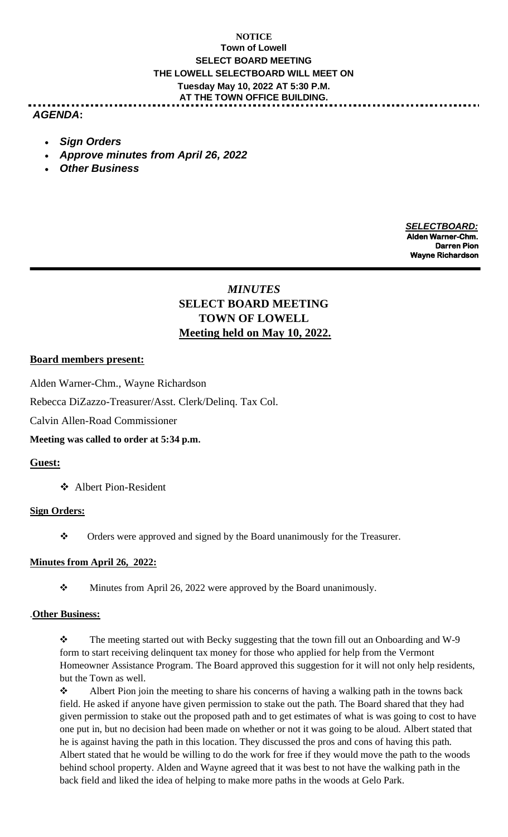## **NOTICE Town of Lowell SELECT BOARD MEETING THE LOWELL SELECTBOARD WILL MEET ON Tuesday May 10, 2022 AT 5:30 P.M. AT THE TOWN OFFICE BUILDING.**

## *AGENDA***:**

- *Sign Orders*
- *Approve minutes from April 26, 2022*
- *Other Business*

 *SELECTBOARD:* **Alden Warner-Chm. Darren Pion American State (2001)** 2012 12:30 Application of the Darren Pion Darren Pion State (2001) 2013 12:30 Application of the United States (2001) 2013 12:30 Application of the United States (2001) 2013 12:30 Appli **Wayne Richardson**

# *MINUTES* **SELECT BOARD MEETING TOWN OF LOWELL Meeting held on May 10, 2022.**

### **Board members present:**

Alden Warner-Chm., Wayne Richardson

Rebecca DiZazzo-Treasurer/Asst. Clerk/Delinq. Tax Col.

Calvin Allen-Road Commissioner

**Meeting was called to order at 5:34 p.m.**

## **Guest:**

❖ Albert Pion-Resident

### **Sign Orders:**

❖ Orders were approved and signed by the Board unanimously for the Treasurer.

### **Minutes from April 26, 2022:**

❖ Minutes from April 26, 2022 were approved by the Board unanimously.

### .**Other Business:**

❖ The meeting started out with Becky suggesting that the town fill out an Onboarding and W-9 form to start receiving delinquent tax money for those who applied for help from the Vermont Homeowner Assistance Program. The Board approved this suggestion for it will not only help residents, but the Town as well.

❖ Albert Pion join the meeting to share his concerns of having a walking path in the towns back field. He asked if anyone have given permission to stake out the path. The Board shared that they had given permission to stake out the proposed path and to get estimates of what is was going to cost to have one put in, but no decision had been made on whether or not it was going to be aloud. Albert stated that he is against having the path in this location. They discussed the pros and cons of having this path. Albert stated that he would be willing to do the work for free if they would move the path to the woods behind school property. Alden and Wayne agreed that it was best to not have the walking path in the back field and liked the idea of helping to make more paths in the woods at Gelo Park.